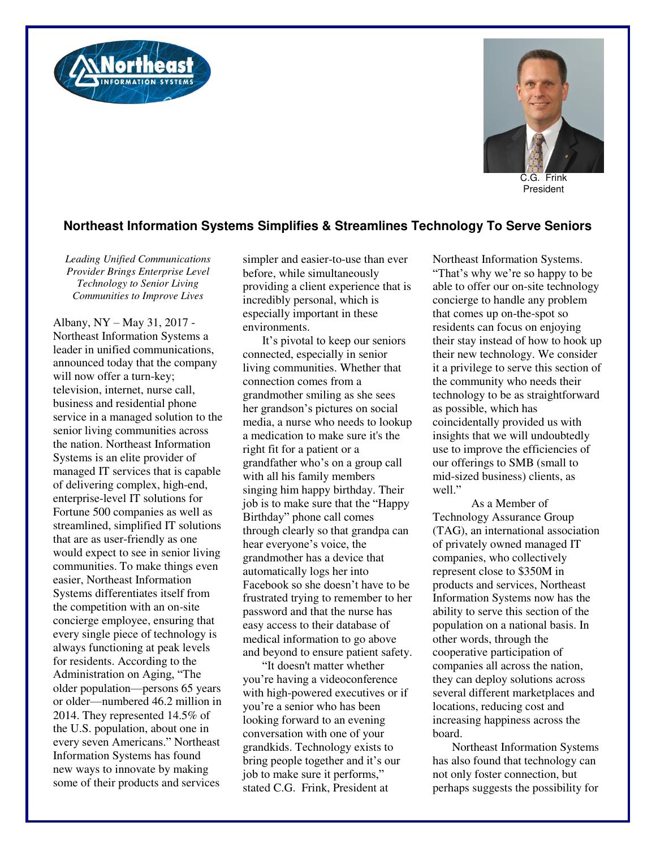



C.G. Frink President

## **Northeast Information Systems Simplifies & Streamlines Technology To Serve Seniors**

*Leading Unified Communications Provider Brings Enterprise Level Technology to Senior Living Communities to Improve Lives* 

Albany, NY – May 31, 2017 - Northeast Information Systems a leader in unified communications, announced today that the company will now offer a turn-key; television, internet, nurse call, business and residential phone service in a managed solution to the senior living communities across the nation. Northeast Information Systems is an elite provider of managed IT services that is capable of delivering complex, high-end, enterprise-level IT solutions for Fortune 500 companies as well as streamlined, simplified IT solutions that are as user-friendly as one would expect to see in senior living communities. To make things even easier, Northeast Information Systems differentiates itself from the competition with an on-site concierge employee, ensuring that every single piece of technology is always functioning at peak levels for residents. According to the Administration on Aging, "The older population—persons 65 years or older—numbered 46.2 million in 2014. They represented 14.5% of the U.S. population, about one in every seven Americans." Northeast Information Systems has found new ways to innovate by making some of their products and services

simpler and easier-to-use than ever before, while simultaneously providing a client experience that is incredibly personal, which is especially important in these environments.

It's pivotal to keep our seniors connected, especially in senior living communities. Whether that connection comes from a grandmother smiling as she sees her grandson's pictures on social media, a nurse who needs to lookup a medication to make sure it's the right fit for a patient or a grandfather who's on a group call with all his family members singing him happy birthday. Their job is to make sure that the "Happy Birthday" phone call comes through clearly so that grandpa can hear everyone's voice, the grandmother has a device that automatically logs her into Facebook so she doesn't have to be frustrated trying to remember to her password and that the nurse has easy access to their database of medical information to go above and beyond to ensure patient safety.

"It doesn't matter whether you're having a videoconference with high-powered executives or if you're a senior who has been looking forward to an evening conversation with one of your grandkids. Technology exists to bring people together and it's our job to make sure it performs," stated C.G. Frink, President at

Northeast Information Systems. "That's why we're so happy to be able to offer our on-site technology concierge to handle any problem that comes up on-the-spot so residents can focus on enjoying their stay instead of how to hook up their new technology. We consider it a privilege to serve this section of the community who needs their technology to be as straightforward as possible, which has coincidentally provided us with insights that we will undoubtedly use to improve the efficiencies of our offerings to SMB (small to mid-sized business) clients, as well."

 As a Member of Technology Assurance Group (TAG), an international association of privately owned managed IT companies, who collectively represent close to \$350M in products and services, Northeast Information Systems now has the ability to serve this section of the population on a national basis. In other words, through the cooperative participation of companies all across the nation, they can deploy solutions across several different marketplaces and locations, reducing cost and increasing happiness across the board.

Northeast Information Systems has also found that technology can not only foster connection, but perhaps suggests the possibility for